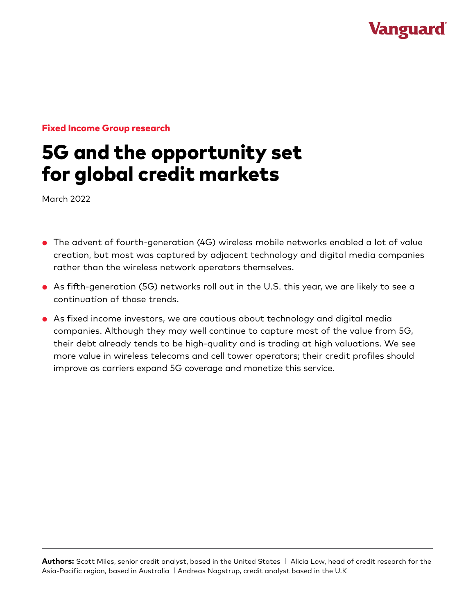## **Vanguard**

#### Fixed Income Group research

# 5G and the opportunity set for global credit markets

March 2022

- The advent of fourth-generation (4G) wireless mobile networks enabled a lot of value creation, but most was captured by adjacent technology and digital media companies rather than the wireless network operators themselves.
- As fifth-generation (5G) networks roll out in the U.S. this year, we are likely to see a continuation of those trends.
- As fixed income investors, we are cautious about technology and digital media companies. Although they may well continue to capture most of the value from 5G, their debt already tends to be high-quality and is trading at high valuations. We see more value in wireless telecoms and cell tower operators; their credit profiles should improve as carriers expand 5G coverage and monetize this service.

**Authors:** Scott Miles, senior credit analyst, based in the United States | Alicia Low, head of credit research for the Asia-Pacific region, based in Australia | Andreas Nagstrup, credit analyst based in the U.K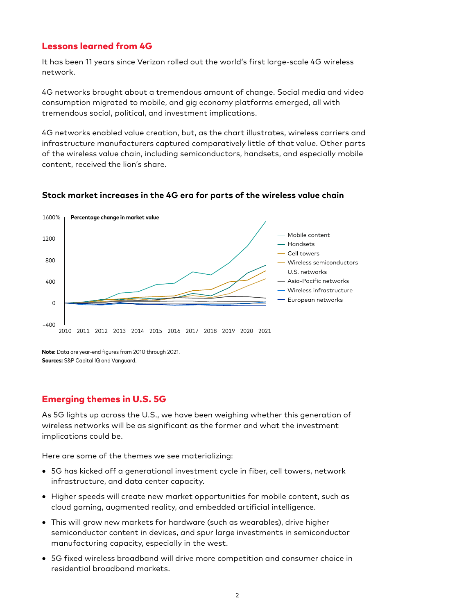#### Lessons learned from 4G

It has been 11 years since Verizon rolled out the world's first large-scale 4G wireless network.

4G networks brought about a tremendous amount of change. Social media and video consumption migrated to mobile, and gig economy platforms emerged, all with tremendous social, political, and investment implications.

4G networks enabled value creation, but, as the chart illustrates, wireless carriers and infrastructure manufacturers captured comparatively little of that value. Other parts of the wireless value chain, including semiconductors, handsets, and especially mobile content, received the lion's share.



#### **Stock market increases in the 4G era for parts of the wireless value chain**

**Note:** Data are year-end figures from 2010 through 2021. **Sources:** S&P Capital IQ and Vanguard.

### Emerging themes in U.S. 5G

As 5G lights up across the U.S., we have been weighing whether this generation of wireless networks will be as significant as the former and what the investment implications could be.

Here are some of the themes we see materializing:

- 5G has kicked off a generational investment cycle in fiber, cell towers, network infrastructure, and data center capacity.
- Higher speeds will create new market opportunities for mobile content, such as cloud gaming, augmented reality, and embedded artificial intelligence.
- This will grow new markets for hardware (such as wearables), drive higher semiconductor content in devices, and spur large investments in semiconductor manufacturing capacity, especially in the west.
- 5G fixed wireless broadband will drive more competition and consumer choice in residential broadband markets.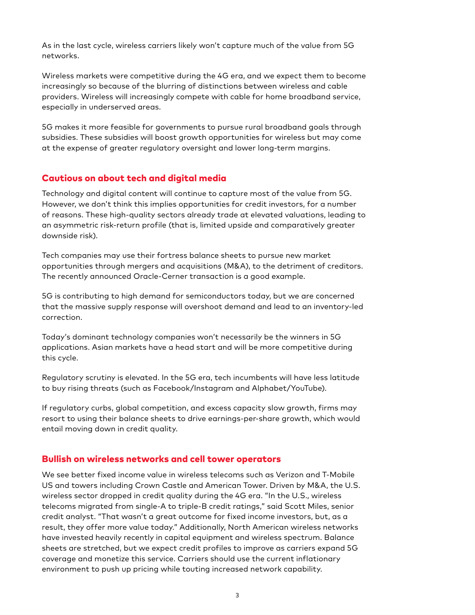As in the last cycle, wireless carriers likely won't capture much of the value from 5G networks.

Wireless markets were competitive during the 4G era, and we expect them to become increasingly so because of the blurring of distinctions between wireless and cable providers. Wireless will increasingly compete with cable for home broadband service, especially in underserved areas.

5G makes it more feasible for governments to pursue rural broadband goals through subsidies. These subsidies will boost growth opportunities for wireless but may come at the expense of greater regulatory oversight and lower long-term margins.

#### Cautious on about tech and digital media

Technology and digital content will continue to capture most of the value from 5G. However, we don't think this implies opportunities for credit investors, for a number of reasons. These high-quality sectors already trade at elevated valuations, leading to an asymmetric risk-return profile (that is, limited upside and comparatively greater downside risk).

Tech companies may use their fortress balance sheets to pursue new market opportunities through mergers and acquisitions (M&A), to the detriment of creditors. The recently announced Oracle-Cerner transaction is a good example.

5G is contributing to high demand for semiconductors today, but we are concerned that the massive supply response will overshoot demand and lead to an inventory-led correction.

Today's dominant technology companies won't necessarily be the winners in 5G applications. Asian markets have a head start and will be more competitive during this cycle.

Regulatory scrutiny is elevated. In the 5G era, tech incumbents will have less latitude to buy rising threats (such as Facebook/Instagram and Alphabet/YouTube).

If regulatory curbs, global competition, and excess capacity slow growth, firms may resort to using their balance sheets to drive earnings-per-share growth, which would entail moving down in credit quality.

#### Bullish on wireless networks and cell tower operators

We see better fixed income value in wireless telecoms such as Verizon and T-Mobile US and towers including Crown Castle and American Tower. Driven by M&A, the U.S. wireless sector dropped in credit quality during the 4G era. "In the U.S., wireless telecoms migrated from single-A to triple-B credit ratings," said Scott Miles, senior credit analyst. "That wasn't a great outcome for fixed income investors, but, as a result, they offer more value today." Additionally, North American wireless networks have invested heavily recently in capital equipment and wireless spectrum. Balance sheets are stretched, but we expect credit profiles to improve as carriers expand 5G coverage and monetize this service. Carriers should use the current inflationary environment to push up pricing while touting increased network capability.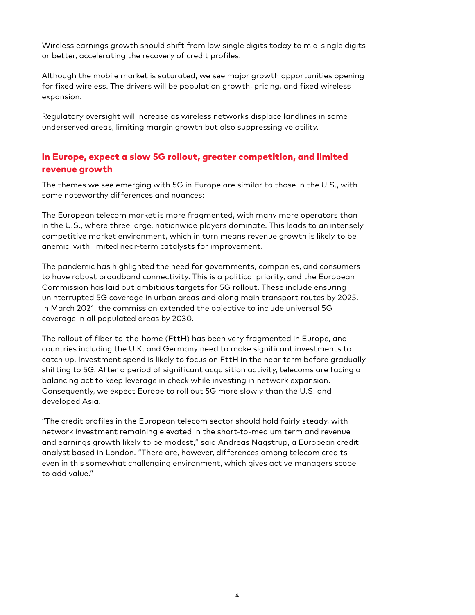Wireless earnings growth should shift from low single digits today to mid-single digits or better, accelerating the recovery of credit profiles.

Although the mobile market is saturated, we see major growth opportunities opening for fixed wireless. The drivers will be population growth, pricing, and fixed wireless expansion.

Regulatory oversight will increase as wireless networks displace landlines in some underserved areas, limiting margin growth but also suppressing volatility.

## In Europe, expect a slow 5G rollout, greater competition, and limited revenue growth

The themes we see emerging with 5G in Europe are similar to those in the U.S., with some noteworthy differences and nuances:

The European telecom market is more fragmented, with many more operators than in the U.S., where three large, nationwide players dominate. This leads to an intensely competitive market environment, which in turn means revenue growth is likely to be anemic, with limited near-term catalysts for improvement.

The pandemic has highlighted the need for governments, companies, and consumers to have robust broadband connectivity. This is a political priority, and the European Commission has laid out ambitious targets for 5G rollout. These include ensuring uninterrupted 5G coverage in urban areas and along main transport routes by 2025. In March 2021, the commission extended the objective to include universal 5G coverage in all populated areas by 2030.

The rollout of fiber-to-the-home (FttH) has been very fragmented in Europe, and countries including the U.K. and Germany need to make significant investments to catch up. Investment spend is likely to focus on FttH in the near term before gradually shifting to 5G. After a period of significant acquisition activity, telecoms are facing a balancing act to keep leverage in check while investing in network expansion. Consequently, we expect Europe to roll out 5G more slowly than the U.S. and developed Asia.

"The credit profiles in the European telecom sector should hold fairly steady, with network investment remaining elevated in the short-to-medium term and revenue and earnings growth likely to be modest," said Andreas Nagstrup, a European credit analyst based in London. "There are, however, differences among telecom credits even in this somewhat challenging environment, which gives active managers scope to add value."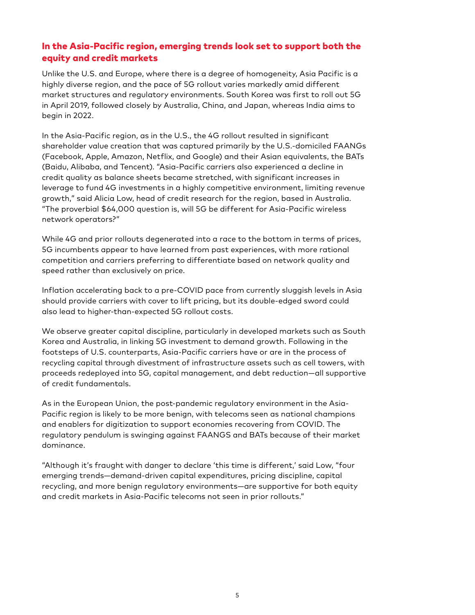## In the Asia-Pacific region, emerging trends look set to support both the equity and credit markets

Unlike the U.S. and Europe, where there is a degree of homogeneity, Asia Pacific is a highly diverse region, and the pace of 5G rollout varies markedly amid different market structures and regulatory environments. South Korea was first to roll out 5G in April 2019, followed closely by Australia, China, and Japan, whereas India aims to begin in 2022.

In the Asia-Pacific region, as in the U.S., the 4G rollout resulted in significant shareholder value creation that was captured primarily by the U.S.-domiciled FAANGs (Facebook, Apple, Amazon, Netflix, and Google) and their Asian equivalents, the BATs (Baidu, Alibaba, and Tencent). "Asia-Pacific carriers also experienced a decline in credit quality as balance sheets became stretched, with significant increases in leverage to fund 4G investments in a highly competitive environment, limiting revenue growth," said Alicia Low, head of credit research for the region, based in Australia. "The proverbial \$64,000 question is, will 5G be different for Asia-Pacific wireless network operators?"

While 4G and prior rollouts degenerated into a race to the bottom in terms of prices, 5G incumbents appear to have learned from past experiences, with more rational competition and carriers preferring to differentiate based on network quality and speed rather than exclusively on price.

Inflation accelerating back to a pre-COVID pace from currently sluggish levels in Asia should provide carriers with cover to lift pricing, but its double-edged sword could also lead to higher-than-expected 5G rollout costs.

We observe greater capital discipline, particularly in developed markets such as South Korea and Australia, in linking 5G investment to demand growth. Following in the footsteps of U.S. counterparts, Asia-Pacific carriers have or are in the process of recycling capital through divestment of infrastructure assets such as cell towers, with proceeds redeployed into 5G, capital management, and debt reduction—all supportive of credit fundamentals.

As in the European Union, the post-pandemic regulatory environment in the Asia-Pacific region is likely to be more benign, with telecoms seen as national champions and enablers for digitization to support economies recovering from COVID. The regulatory pendulum is swinging against FAANGS and BATs because of their market dominance.

"Although it's fraught with danger to declare 'this time is different,' said Low, "four emerging trends—demand-driven capital expenditures, pricing discipline, capital recycling, and more benign regulatory environments—are supportive for both equity and credit markets in Asia-Pacific telecoms not seen in prior rollouts."